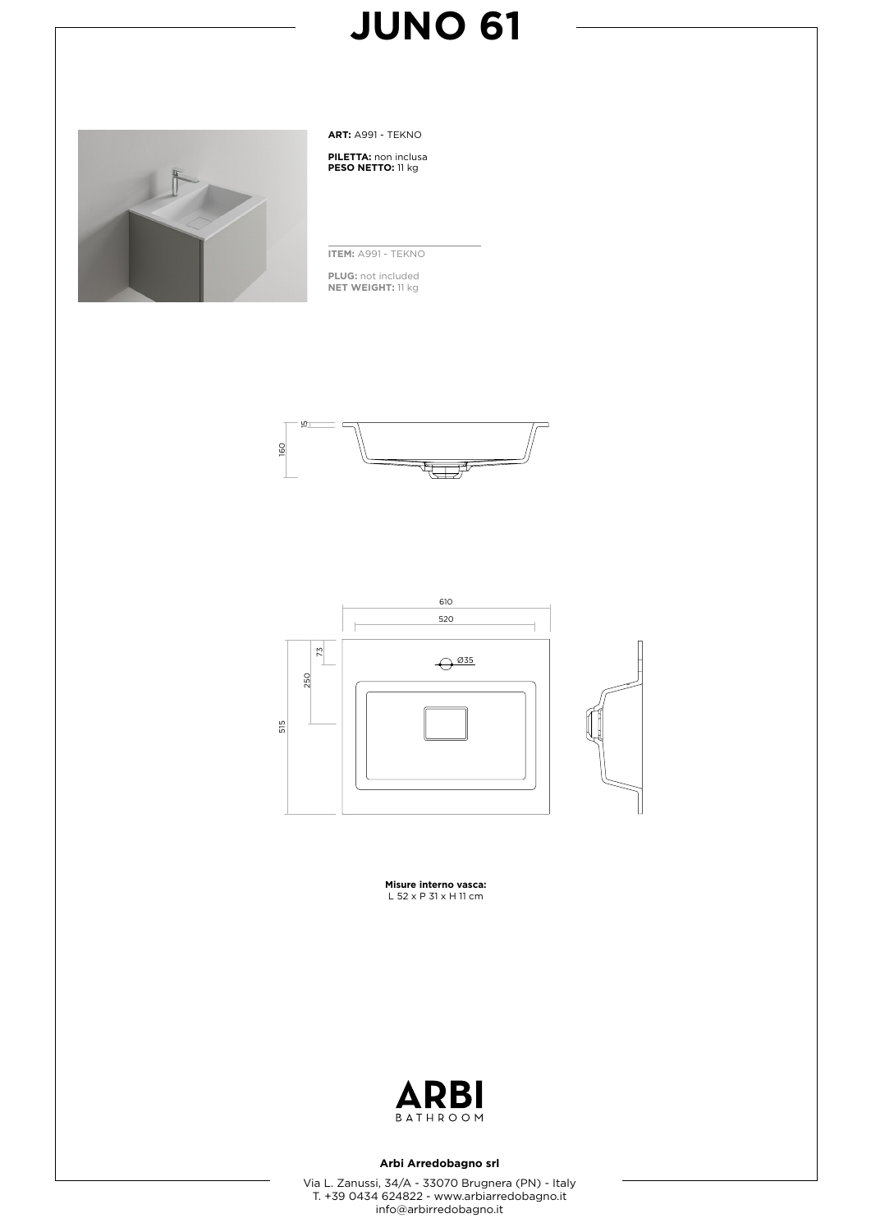

**ART:** A991 - TEKNO

**PILETTA:** non inclusa **PESO NETTO:** 11 kg

**ITEM:** A991 - TEKNO

**PLUG:** not included **NET WEIGHT:** 11 kg





**Misure interno vasca:** L 52 x P 31 x H 11 cm



#### **Arbi Arredobagno srl**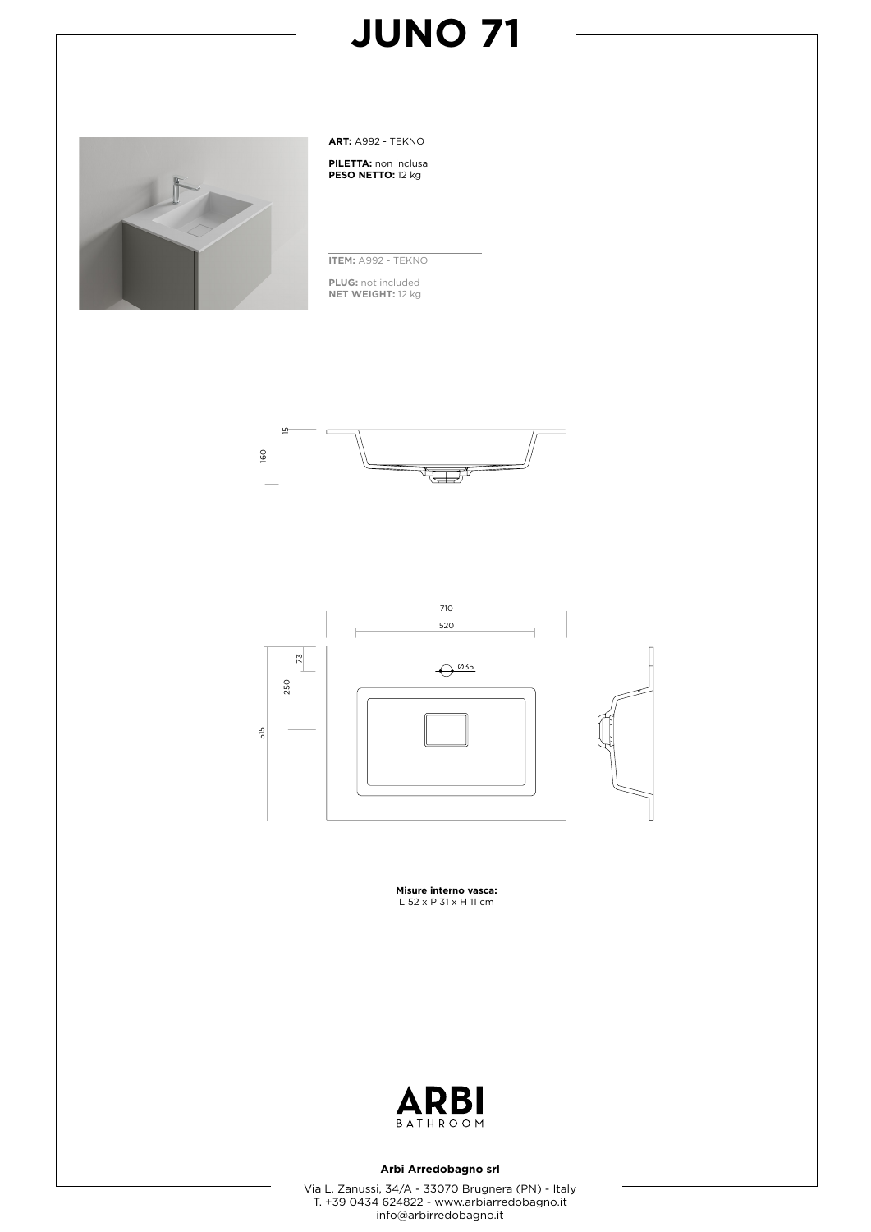

**ART:** A992 - TEKNO

**PILETTA:** non inclusa **PESO NETTO:** 12 kg

**ITEM:** A992 - TEKNO

**PLUG:** not included **NET WEIGHT:** 12 kg





**Misure interno vasca:** L 52 x P 31 x H 11 cm



### **Arbi Arredobagno srl**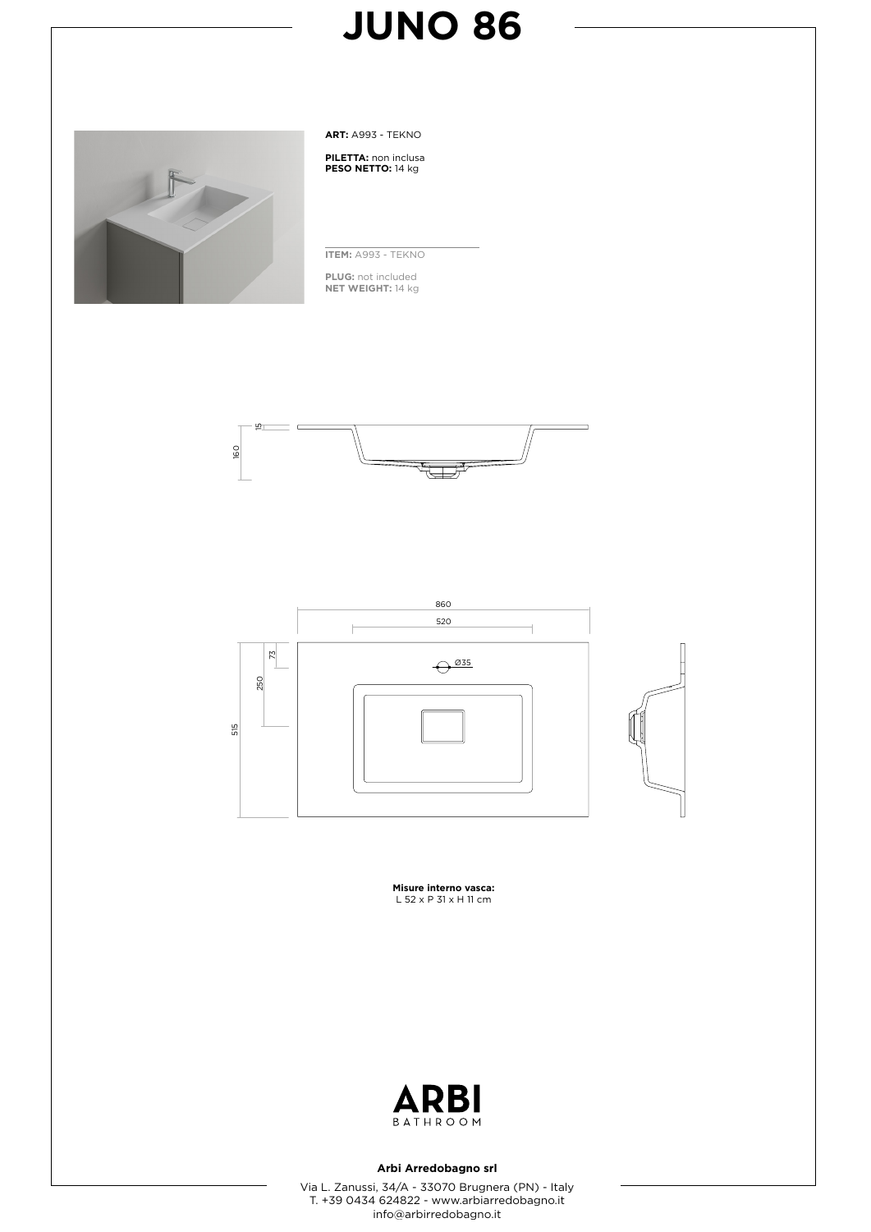

**ART:** A993 - TEKNO

**PILETTA:** non inclusa **PESO NETTO:** 14 kg

**ITEM:** A993 - TEKNO

**PLUG:** not included **NET WEIGHT:** 14 kg





**Misure interno vasca:** L 52 x P 31 x H 11 cm



#### **Arbi Arredobagno srl**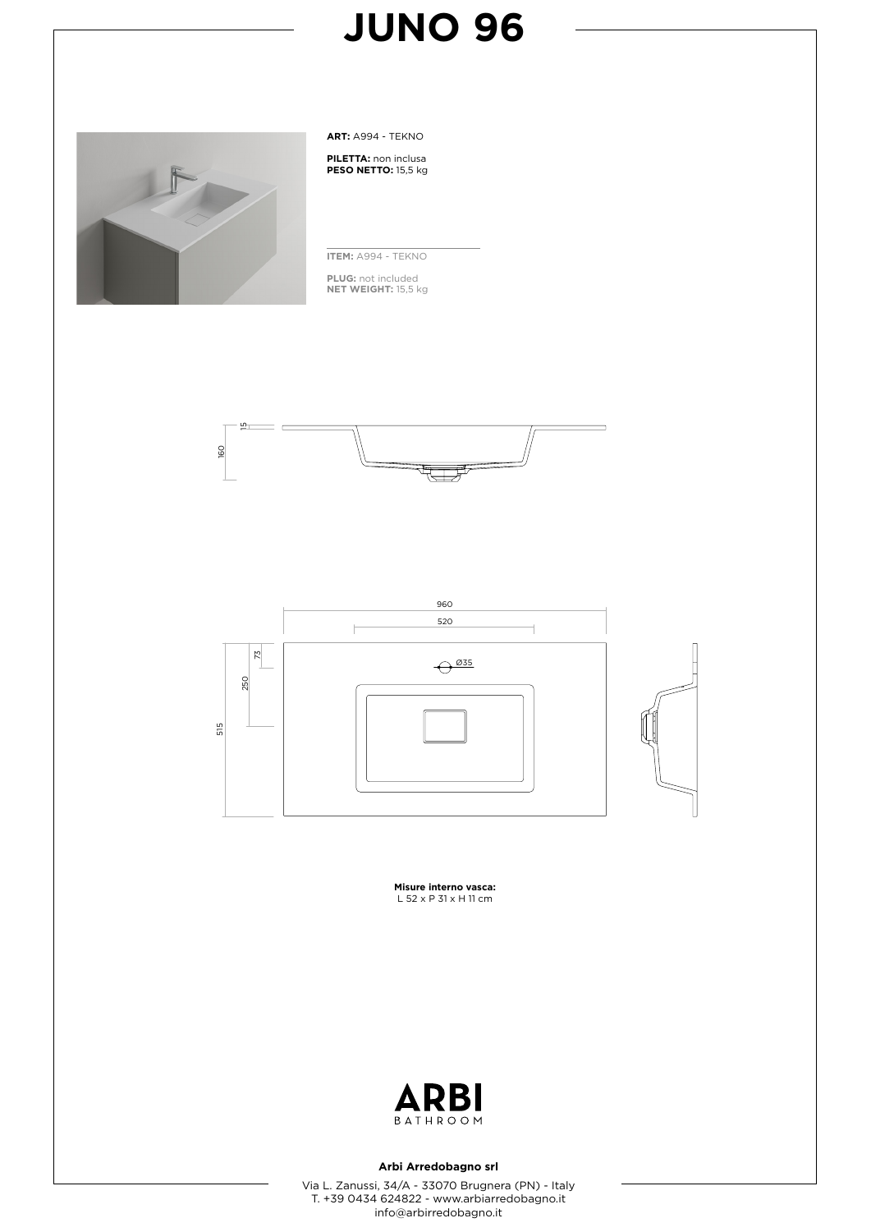

**ART:** A994 - TEKNO

**PILETTA:** non inclusa **PESO NETTO:** 15,5 kg

**ITEM:** A994 - TEKNO

**PLUG:** not included **NET WEIGHT:** 15,5 kg





**Misure interno vasca:** L 52 x P 31 x H 11 cm



#### **Arbi Arredobagno srl**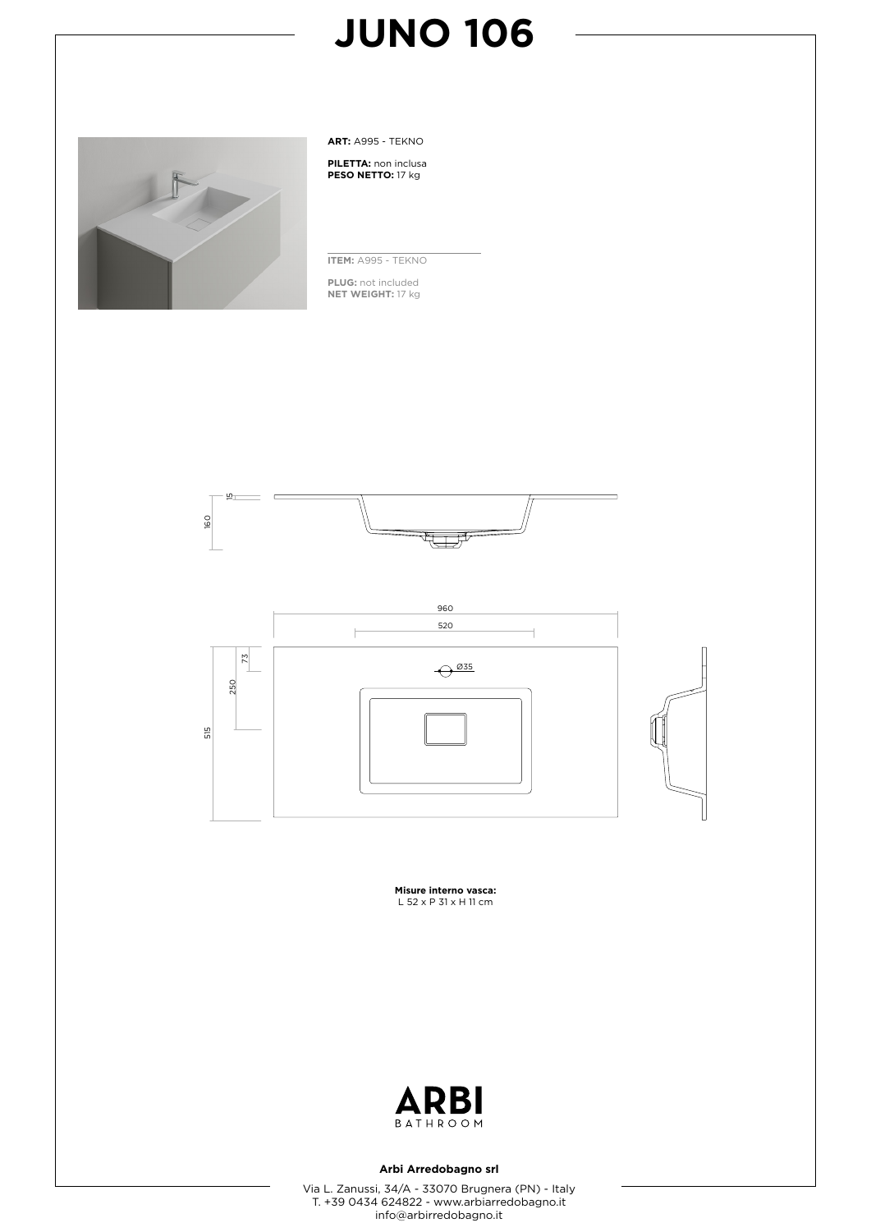

**ART:** A995 - TEKNO

**PILETTA:** non inclusa **PESO NETTO:** 17 kg

**ITEM:** A995 - TEKNO

**PLUG:** not included **NET WEIGHT:** 17 kg





**Misure interno vasca:** L 52 x P 31 x H 11 cm



### **Arbi Arredobagno srl**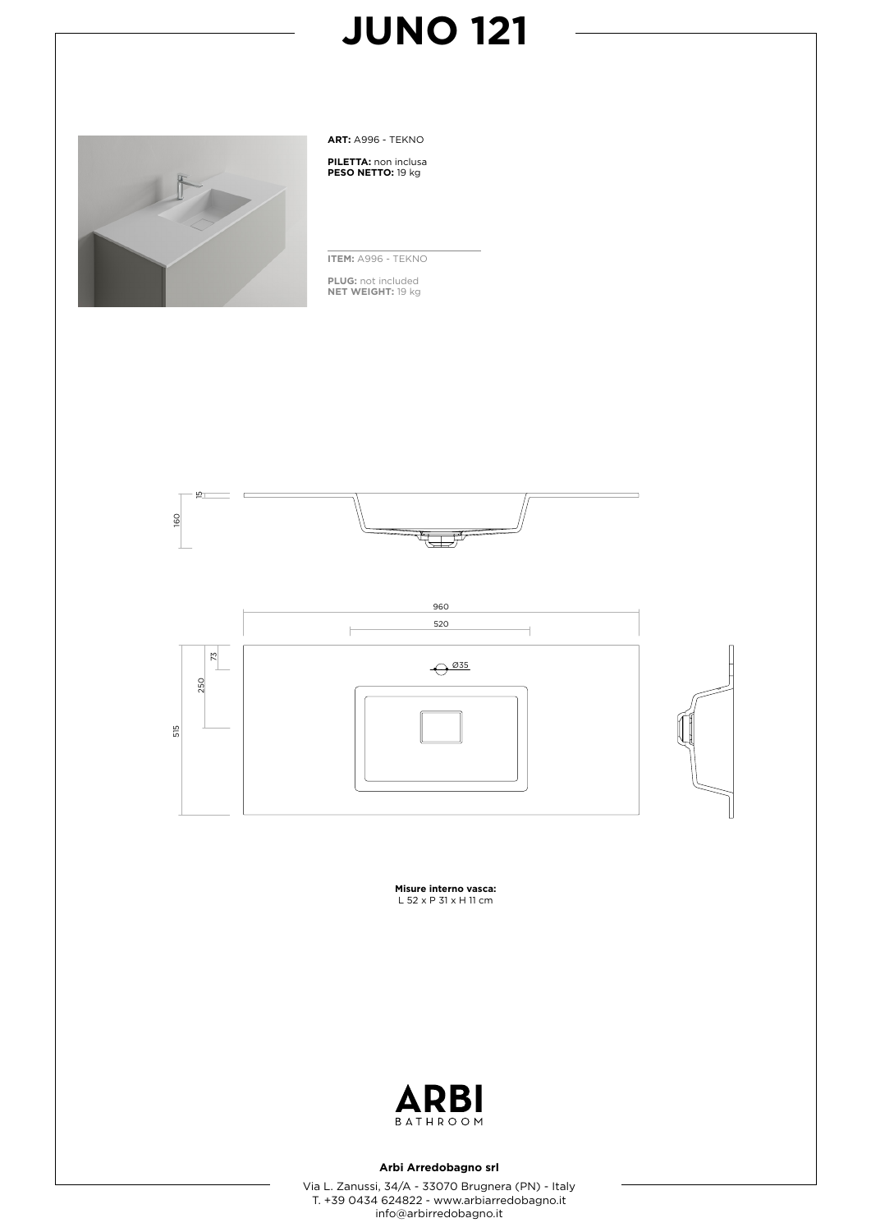

**ART:** A996 - TEKNO

**PILETTA:** non inclusa **PESO NETTO:** 19 kg

**ITEM:** A996 - TEKNO

**PLUG:** not included **NET WEIGHT:** 19 kg





**Misure interno vasca:**<br>L 52 x P 31 x H 11 cm



### **Arbi Arredobagno srl**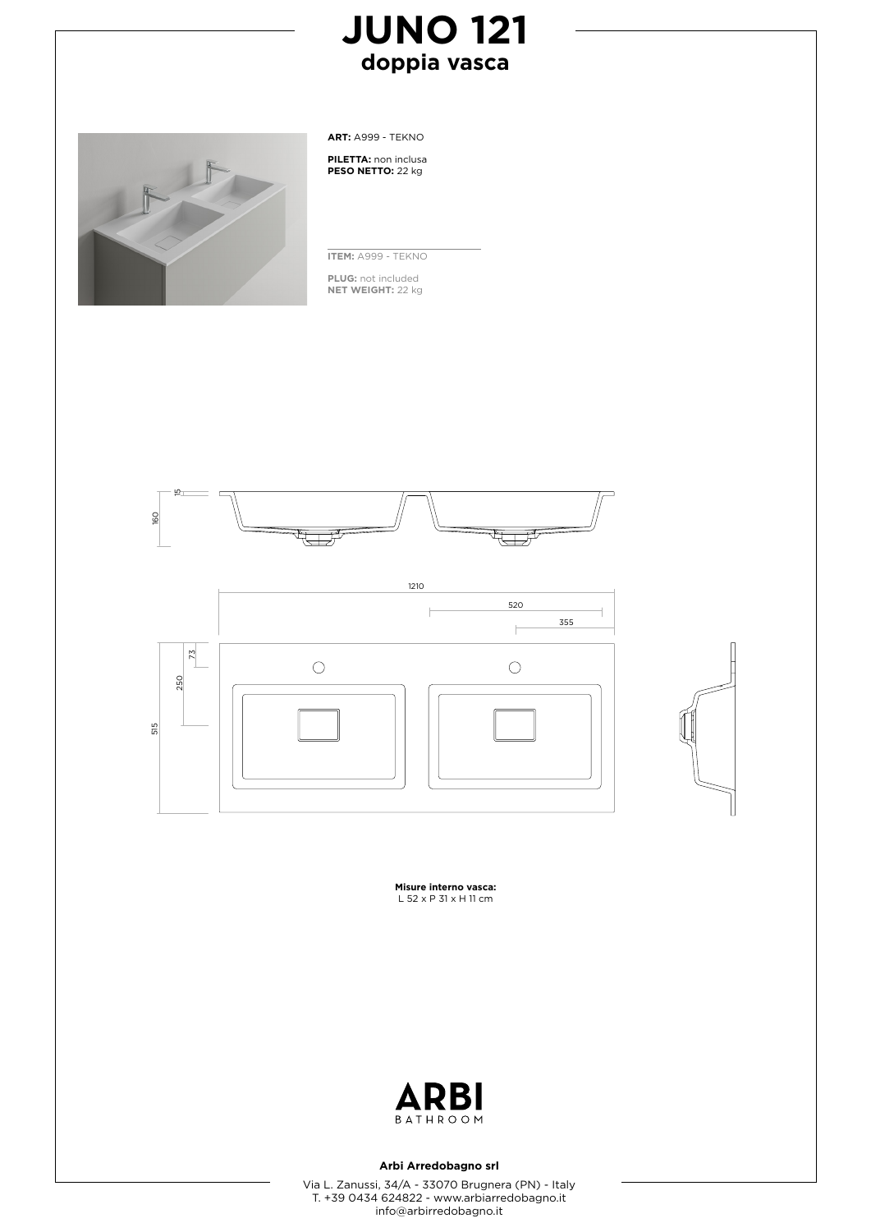### **JUNO 121 doppia vasca**



**ART:** A999 - TEKNO

**PILETTA:** non inclusa **PESO NETTO:** 22 kg

**ITEM:** A999 - TEKNO

**PLUG:** not included **NET WEIGHT:** 22 kg







**Misure interno vasca:** L 52 x P 31 x H 11 cm



#### **Arbi Arredobagno srl**